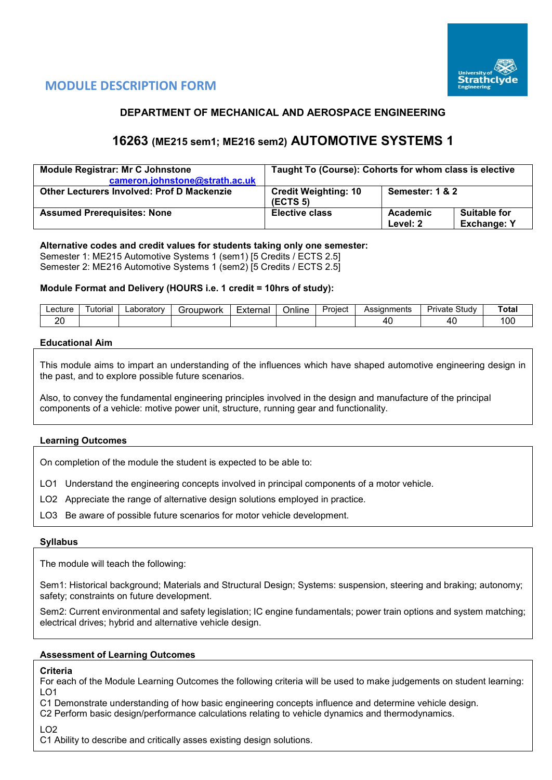

# **MODULE DESCRIPTION FORM**

# **DEPARTMENT OF MECHANICAL AND AEROSPACE ENGINEERING**

# **16263 (ME215 sem1; ME216 sem2) AUTOMOTIVE SYSTEMS 1**

| <b>Module Registrar: Mr C Johnstone</b>    | Taught To (Course): Cohorts for whom class is elective |                      |                                           |  |  |  |  |
|--------------------------------------------|--------------------------------------------------------|----------------------|-------------------------------------------|--|--|--|--|
| cameron.johnstone@strath.ac.uk             |                                                        |                      |                                           |  |  |  |  |
| Other Lecturers Involved: Prof D Mackenzie | <b>Credit Weighting: 10</b><br>(ECTS <sub>5</sub> )    | Semester: 1 & 2      |                                           |  |  |  |  |
| <b>Assumed Prerequisites: None</b>         | <b>Elective class</b>                                  | Academic<br>Level: 2 | <b>Suitable for</b><br><b>Exchange: Y</b> |  |  |  |  |

# **Alternative codes and credit values for students taking only one semester:**

Semester 1: ME215 Automotive Systems 1 (sem1) [5 Credits / ECTS 2.5] Semester 2: ME216 Automotive Systems 1 (sem2) [5 Credits / ECTS 2.5]

# **Module Format and Delivery (HOURS i.e. 1 credit = 10hrs of study):**

| Lecture      | utoria | ∟aborator∵ | iroupwork | $\overline{\phantom{0}}$<br>External | <br>Online | 'roiect<br>. . | Assianments | Study<br>Private | Total      |
|--------------|--------|------------|-----------|--------------------------------------|------------|----------------|-------------|------------------|------------|
| ററ<br>$\sim$ |        |            |           |                                      |            |                | 4           | $\Lambda$        | م ہ<br>∣∪∪ |

# **Educational Aim**

This module aims to impart an understanding of the influences which have shaped automotive engineering design in the past, and to explore possible future scenarios.

Also, to convey the fundamental engineering principles involved in the design and manufacture of the principal components of a vehicle: motive power unit, structure, running gear and functionality.

# **Learning Outcomes**

On completion of the module the student is expected to be able to:

LO1 Understand the engineering concepts involved in principal components of a motor vehicle.

LO2 Appreciate the range of alternative design solutions employed in practice.

LO3 Be aware of possible future scenarios for motor vehicle development.

# **Syllabus**

The module will teach the following:

Sem1: Historical background; Materials and Structural Design; Systems: suspension, steering and braking; autonomy; safety; constraints on future development.

Sem2: Current environmental and safety legislation; IC engine fundamentals; power train options and system matching; electrical drives; hybrid and alternative vehicle design.

# **Assessment of Learning Outcomes**

# **Criteria**

For each of the Module Learning Outcomes the following criteria will be used to make judgements on student learning: LO1

C1 Demonstrate understanding of how basic engineering concepts influence and determine vehicle design.

C2 Perform basic design/performance calculations relating to vehicle dynamics and thermodynamics.

LO2

C1 Ability to describe and critically asses existing design solutions.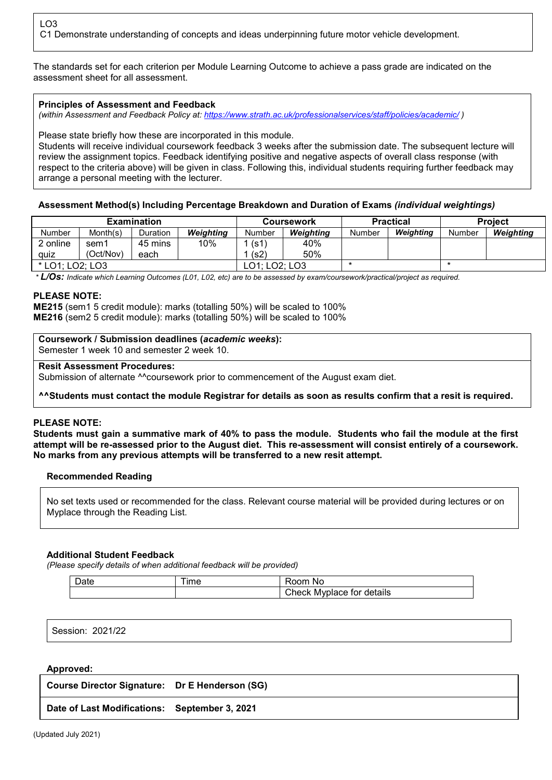The standards set for each criterion per Module Learning Outcome to achieve a pass grade are indicated on the assessment sheet for all assessment.

# **Principles of Assessment and Feedback**

*(within Assessment and Feedback Policy at: <https://www.strath.ac.uk/professionalservices/staff/policies/academic/> )*

Please state briefly how these are incorporated in this module.

Students will receive individual coursework feedback 3 weeks after the submission date. The subsequent lecture will review the assignment topics. Feedback identifying positive and negative aspects of overall class response (with respect to the criteria above) will be given in class. Following this, individual students requiring further feedback may arrange a personal meeting with the lecturer.

# **Assessment Method(s) Including Percentage Breakdown and Duration of Exams** *(individual weightings)*

|                 |           | <b>Examination</b> |           |                            | Coursework |        | <b>Practical</b> | <b>Project</b> |           |  |
|-----------------|-----------|--------------------|-----------|----------------------------|------------|--------|------------------|----------------|-----------|--|
| Number          | Month(s)  | Duration           | Weighting | <b>Weighting</b><br>Number |            | Number | Weighting        | Number         | Weighting |  |
| 2 online        | sem1      | 45 mins            | 10%       | (s1)                       | 40%        |        |                  |                |           |  |
| quiz            | (Oct/Nov) | each               |           | (s2)                       | 50%        |        |                  |                |           |  |
| * LO1; LO2; LO3 |           |                    |           | LO2; LO3<br>$\cap$ 1.1.    |            |        |                  |                |           |  |

*\* L/Os: Indicate which Learning Outcomes (L01, L02, etc) are to be assessed by exam/coursework/practical/project as required.*

#### **PLEASE NOTE:**

**ME215** (sem1 5 credit module): marks (totalling 50%) will be scaled to 100% **ME216** (sem2 5 credit module): marks (totalling 50%) will be scaled to 100%

#### **Coursework / Submission deadlines (***academic weeks***):**

Semester 1 week 10 and semester 2 week 10.

#### **Resit Assessment Procedures:**

Submission of alternate <sup>^^</sup>coursework prior to commencement of the August exam diet.

**^^Students must contact the module Registrar for details as soon as results confirm that a resit is required.**

# **PLEASE NOTE:**

**Students must gain a summative mark of 40% to pass the module. Students who fail the module at the first attempt will be re-assessed prior to the August diet. This re-assessment will consist entirely of a coursework. No marks from any previous attempts will be transferred to a new resit attempt.**

# **Recommended Reading**

No set texts used or recommended for the class. Relevant course material will be provided during lectures or on Myplace through the Reading List.

# **Additional Student Feedback**

*(Please specify details of when additional feedback will be provided)*

| Date | <b>Ime</b> | No.<br>'oom                   |
|------|------------|-------------------------------|
|      |            | Myplace for details<br>Check, |

Session: 2021/22

# **Approved:**

| Course Director Signature: Dr E Henderson (SG) |  |
|------------------------------------------------|--|
| Date of Last Modifications: September 3, 2021  |  |